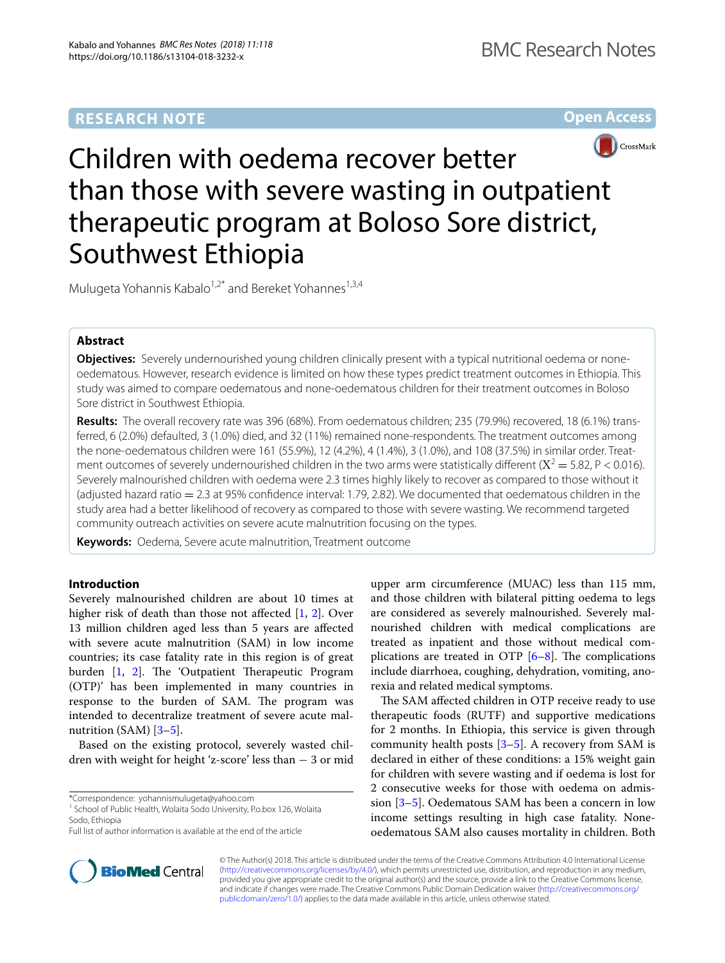# **RESEARCH NOTE**

**Open Access**



Children with oedema recover better than those with severe wasting in outpatient therapeutic program at Boloso Sore district, Southwest Ethiopia

Mulugeta Yohannis Kabalo<sup>1,2\*</sup> and Bereket Yohannes<sup>1,3,4</sup>

# **Abstract**

**Objectives:** Severely undernourished young children clinically present with a typical nutritional oedema or noneoedematous. However, research evidence is limited on how these types predict treatment outcomes in Ethiopia. This study was aimed to compare oedematous and none-oedematous children for their treatment outcomes in Boloso Sore district in Southwest Ethiopia.

**Results:** The overall recovery rate was 396 (68%). From oedematous children; 235 (79.9%) recovered, 18 (6.1%) transferred, 6 (2.0%) defaulted, 3 (1.0%) died, and 32 (11%) remained none-respondents. The treatment outcomes among the none-oedematous children were 161 (55.9%), 12 (4.2%), 4 (1.4%), 3 (1.0%), and 108 (37.5%) in similar order. Treatment outcomes of severely undernourished children in the two arms were statistically different  $(X^2 = 5.82, P < 0.016)$ . Severely malnourished children with oedema were 2.3 times highly likely to recover as compared to those without it (adjusted hazard ratio  $= 2.3$  at 95% confidence interval: 1.79, 2.82). We documented that oedematous children in the study area had a better likelihood of recovery as compared to those with severe wasting. We recommend targeted community outreach activities on severe acute malnutrition focusing on the types.

**Keywords:** Oedema, Severe acute malnutrition, Treatment outcome

# **Introduction**

Severely malnourished children are about 10 times at higher risk of death than those not affected [[1,](#page-4-0) [2](#page-4-1)]. Over 13 million children aged less than 5 years are afected with severe acute malnutrition (SAM) in low income countries; its case fatality rate in this region is of great burden [\[1](#page-4-0), [2\]](#page-4-1). The 'Outpatient Therapeutic Program (OTP)' has been implemented in many countries in response to the burden of SAM. The program was intended to decentralize treatment of severe acute malnutrition (SAM) [\[3–](#page-4-2)[5\]](#page-4-3).

Based on the existing protocol, severely wasted children with weight for height 'z-score' less than − 3 or mid

\*Correspondence: yohannismulugeta@yahoo.com



The SAM affected children in OTP receive ready to use therapeutic foods (RUTF) and supportive medications for 2 months. In Ethiopia, this service is given through community health posts  $[3-5]$  $[3-5]$ . A recovery from SAM is declared in either of these conditions: a 15% weight gain for children with severe wasting and if oedema is lost for 2 consecutive weeks for those with oedema on admission [[3–](#page-4-2)[5\]](#page-4-3). Oedematous SAM has been a concern in low income settings resulting in high case fatality. Noneoedematous SAM also causes mortality in children. Both



© The Author(s) 2018. This article is distributed under the terms of the Creative Commons Attribution 4.0 International License [\(http://creativecommons.org/licenses/by/4.0/\)](http://creativecommons.org/licenses/by/4.0/), which permits unrestricted use, distribution, and reproduction in any medium, provided you give appropriate credit to the original author(s) and the source, provide a link to the Creative Commons license, and indicate if changes were made. The Creative Commons Public Domain Dedication waiver ([http://creativecommons.org/](http://creativecommons.org/publicdomain/zero/1.0/) [publicdomain/zero/1.0/](http://creativecommons.org/publicdomain/zero/1.0/)) applies to the data made available in this article, unless otherwise stated.

<sup>&</sup>lt;sup>1</sup> School of Public Health, Wolaita Sodo University, P.o.box 126, Wolaita Sodo, Ethiopia

Full list of author information is available at the end of the article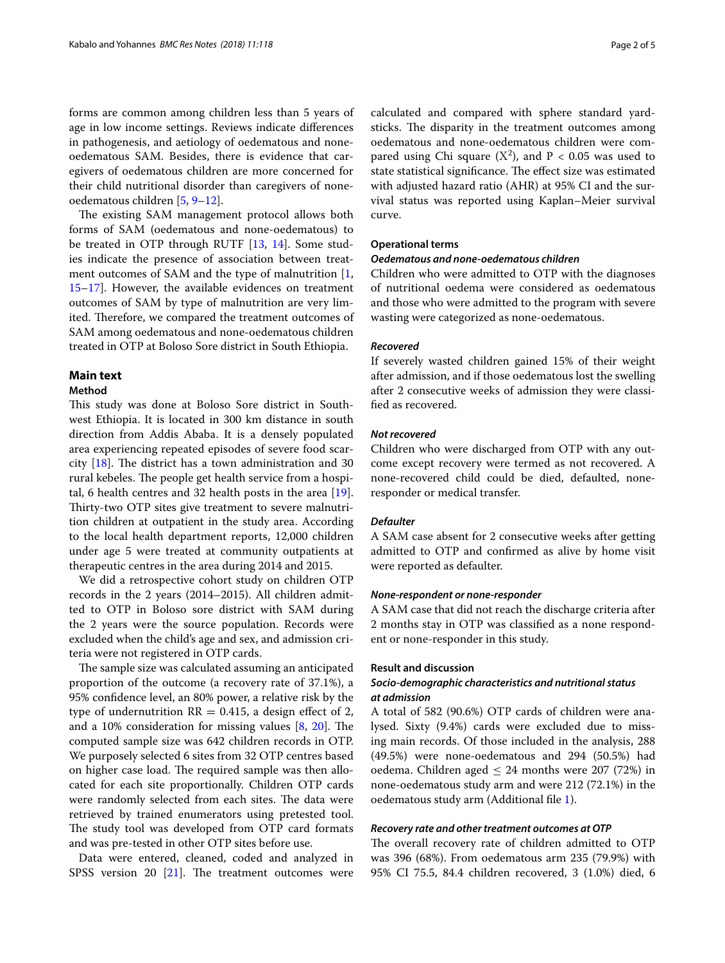forms are common among children less than 5 years of age in low income settings. Reviews indicate diferences in pathogenesis, and aetiology of oedematous and noneoedematous SAM. Besides, there is evidence that caregivers of oedematous children are more concerned for their child nutritional disorder than caregivers of noneoedematous children [\[5,](#page-4-3) [9](#page-4-6)[–12](#page-4-7)].

The existing SAM management protocol allows both forms of SAM (oedematous and none-oedematous) to be treated in OTP through RUTF [[13](#page-4-8), [14](#page-4-9)]. Some studies indicate the presence of association between treat-ment outcomes of SAM and the type of malnutrition [\[1](#page-4-0), [15–](#page-4-10)[17](#page-4-11)]. However, the available evidences on treatment outcomes of SAM by type of malnutrition are very limited. Therefore, we compared the treatment outcomes of SAM among oedematous and none-oedematous children treated in OTP at Boloso Sore district in South Ethiopia.

### **Main text**

# **Method**

This study was done at Boloso Sore district in Southwest Ethiopia. It is located in 300 km distance in south direction from Addis Ababa. It is a densely populated area experiencing repeated episodes of severe food scarcity  $[18]$  $[18]$ . The district has a town administration and 30 rural kebeles. The people get health service from a hospital, 6 health centres and 32 health posts in the area [\[19](#page-4-13)]. Thirty-two OTP sites give treatment to severe malnutrition children at outpatient in the study area. According to the local health department reports, 12,000 children under age 5 were treated at community outpatients at therapeutic centres in the area during 2014 and 2015.

We did a retrospective cohort study on children OTP records in the 2 years (2014–2015). All children admitted to OTP in Boloso sore district with SAM during the 2 years were the source population. Records were excluded when the child's age and sex, and admission criteria were not registered in OTP cards.

The sample size was calculated assuming an anticipated proportion of the outcome (a recovery rate of 37.1%), a 95% confdence level, an 80% power, a relative risk by the type of undernutrition  $RR = 0.415$ , a design effect of 2, and a  $10\%$  consideration for missing values  $[8, 20]$  $[8, 20]$  $[8, 20]$  $[8, 20]$  $[8, 20]$ . The computed sample size was 642 children records in OTP. We purposely selected 6 sites from 32 OTP centres based on higher case load. The required sample was then allocated for each site proportionally. Children OTP cards were randomly selected from each sites. The data were retrieved by trained enumerators using pretested tool. The study tool was developed from OTP card formats and was pre-tested in other OTP sites before use.

Data were entered, cleaned, coded and analyzed in SPSS version 20  $[21]$  $[21]$ . The treatment outcomes were calculated and compared with sphere standard yardsticks. The disparity in the treatment outcomes among oedematous and none-oedematous children were compared using Chi square  $(X^2)$ , and  $P < 0.05$  was used to state statistical significance. The effect size was estimated with adjusted hazard ratio (AHR) at 95% CI and the survival status was reported using Kaplan–Meier survival curve.

### **Operational terms**

#### *Oedematous and none‑oedematous children*

Children who were admitted to OTP with the diagnoses of nutritional oedema were considered as oedematous and those who were admitted to the program with severe wasting were categorized as none-oedematous.

# *Recovered*

If severely wasted children gained 15% of their weight after admission, and if those oedematous lost the swelling after 2 consecutive weeks of admission they were classifed as recovered.

### *Not recovered*

Children who were discharged from OTP with any outcome except recovery were termed as not recovered. A none-recovered child could be died, defaulted, noneresponder or medical transfer.

### *Defaulter*

A SAM case absent for 2 consecutive weeks after getting admitted to OTP and confrmed as alive by home visit were reported as defaulter.

### *None‑respondent or none‑responder*

A SAM case that did not reach the discharge criteria after 2 months stay in OTP was classifed as a none respondent or none-responder in this study.

#### **Result and discussion**

### *Socio‑demographic characteristics and nutritional status at admission*

A total of 582 (90.6%) OTP cards of children were analysed. Sixty (9.4%) cards were excluded due to missing main records. Of those included in the analysis, 288 (49.5%) were none-oedematous and 294 (50.5%) had oedema. Children aged  $\leq 24$  months were 207 (72%) in none-oedematous study arm and were 212 (72.1%) in the oedematous study arm (Additional fle [1\)](#page-3-0).

### *Recovery rate and other treatment outcomes at OTP*

The overall recovery rate of children admitted to OTP was 396 (68%). From oedematous arm 235 (79.9%) with 95% CI 75.5, 84.4 children recovered, 3 (1.0%) died, 6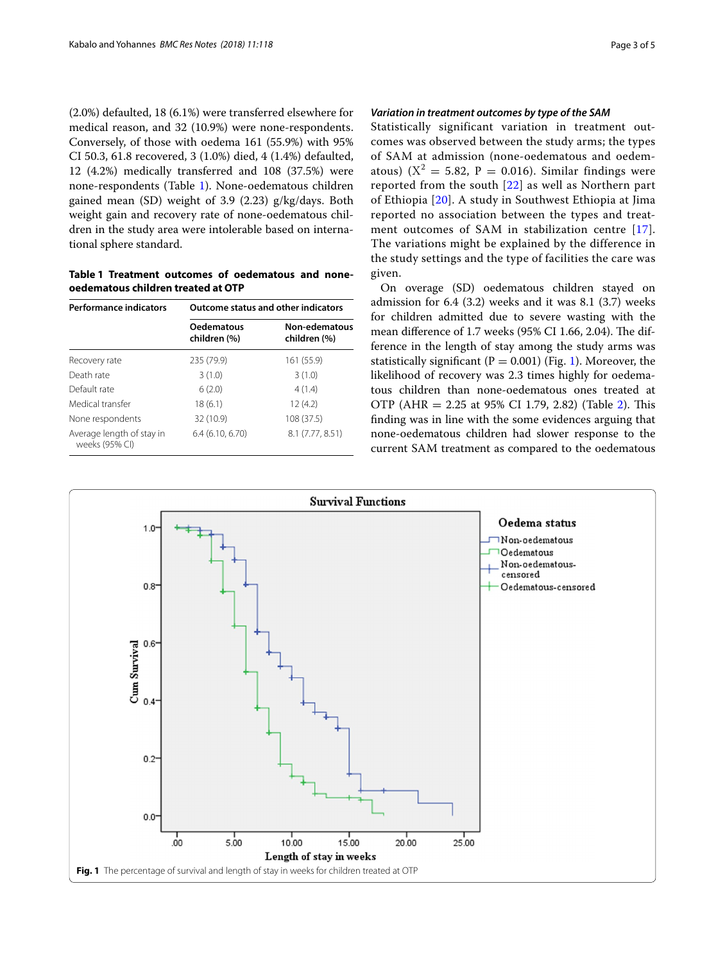(2.0%) defaulted, 18 (6.1%) were transferred elsewhere for medical reason, and 32 (10.9%) were none-respondents. Conversely, of those with oedema 161 (55.9%) with 95% CI 50.3, 61.8 recovered, 3 (1.0%) died, 4 (1.4%) defaulted, 12 (4.2%) medically transferred and 108 (37.5%) were none-respondents (Table [1](#page-2-0)). None-oedematous children gained mean (SD) weight of 3.9 (2.23) g/kg/days. Both weight gain and recovery rate of none-oedematous children in the study area were intolerable based on international sphere standard.

<span id="page-2-0"></span>**Table 1 Treatment outcomes of oedematous and noneoedematous children treated at OTP**

| <b>Performance indicators</b>               | <b>Outcome status and other indicators</b> |                               |  |  |
|---------------------------------------------|--------------------------------------------|-------------------------------|--|--|
|                                             | <b>Oedematous</b><br>children (%)          | Non-edematous<br>children (%) |  |  |
| Recovery rate                               | 235 (79.9)                                 | 161 (55.9)                    |  |  |
| Death rate                                  | 3(1.0)                                     | 3(1.0)                        |  |  |
| Default rate                                | 6(2.0)                                     | 4(1.4)                        |  |  |
| Medical transfer                            | 18 (6.1)                                   | 12(4.2)                       |  |  |
| None respondents                            | 32 (10.9)                                  | 108 (37.5)                    |  |  |
| Average length of stay in<br>weeks (95% CI) | 6.4(6.10, 6.70)                            | 8.1 (7.77, 8.51)              |  |  |

# *Variation in treatment outcomes by type of the SAM*

Statistically significant variation in treatment outcomes was observed between the study arms; the types of SAM at admission (none-oedematous and oedematous) ( $X^2 = 5.82$ ,  $P = 0.016$ ). Similar findings were reported from the south [\[22\]](#page-4-16) as well as Northern part of Ethiopia [[20](#page-4-14)]. A study in Southwest Ethiopia at Jima reported no association between the types and treatment outcomes of SAM in stabilization centre [[17\]](#page-4-11). The variations might be explained by the difference in the study settings and the type of facilities the care was given.

On overage (SD) oedematous children stayed on admission for 6.4 (3.2) weeks and it was 8.1 (3.7) weeks for children admitted due to severe wasting with the mean difference of 1.7 weeks (95% CI 1.66, 2.04). The difference in the length of stay among the study arms was statistically significant ( $P = 0.001$ ) (Fig. [1\)](#page-2-1). Moreover, the likelihood of recovery was 2.3 times highly for oedematous children than none-oedematous ones treated at OTP (AHR =  $2.25$  $2.25$  at 95% CI 1.79, 2.82) (Table 2). This fnding was in line with the some evidences arguing that none-oedematous children had slower response to the current SAM treatment as compared to the oedematous

<span id="page-2-1"></span>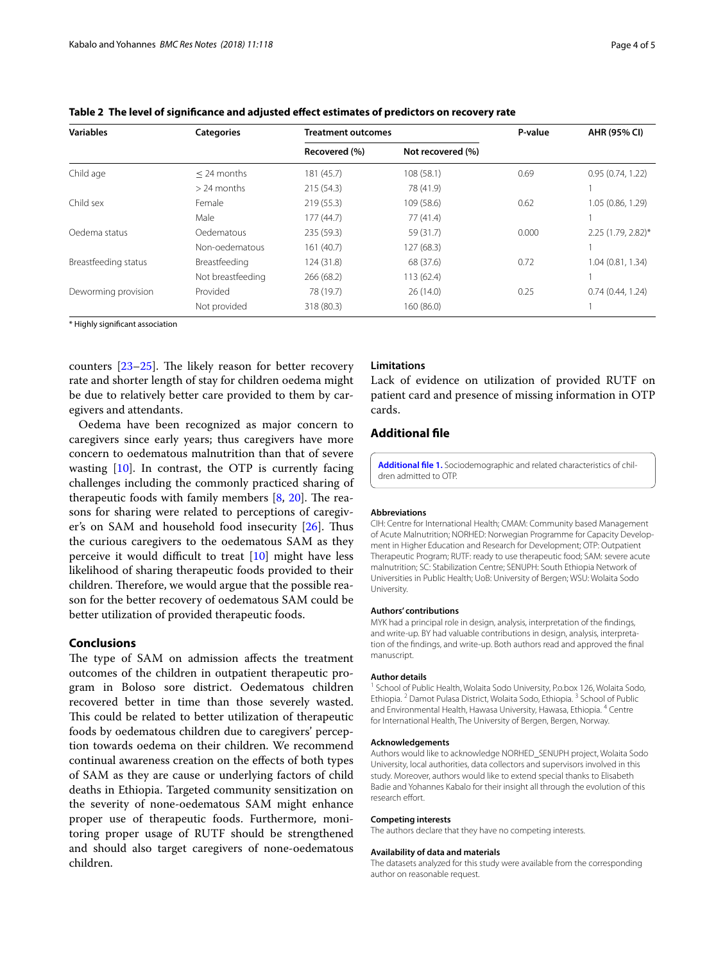| <b>Variables</b>     | <b>Categories</b> | Treatment outcomes |                   | P-value | AHR (95% CI)       |
|----------------------|-------------------|--------------------|-------------------|---------|--------------------|
|                      |                   | Recovered (%)      | Not recovered (%) |         |                    |
| Child age            | $<$ 24 months     | 181 (45.7)         | 108(58.1)         | 0.69    | 0.95(0.74, 1.22)   |
|                      | $> 24$ months     | 215 (54.3)         | 78 (41.9)         |         |                    |
| Child sex            | Female            | 219(55.3)          | 109 (58.6)        | 0.62    | 1.05 (0.86, 1.29)  |
|                      | Male              | 177(44.7)          | 77(41.4)          |         |                    |
| Oedema status        | Oedematous        | 235 (59.3)         | 59 (31.7)         | 0.000   | 2.25 (1.79, 2.82)* |
|                      | Non-oedematous    | 161 (40.7)         | 127 (68.3)        |         |                    |
| Breastfeeding status | Breastfeeding     | 124 (31.8)         | 68 (37.6)         | 0.72    | 1.04(0.81, 1.34)   |
|                      | Not breastfeeding | 266 (68.2)         | 113(62.4)         |         |                    |
| Deworming provision  | Provided          | 78 (19.7)          | 26(14.0)          | 0.25    | 0.74(0.44, 1.24)   |
|                      | Not provided      | 318 (80.3)         | 160 (86.0)        |         |                    |

<span id="page-3-1"></span>**Table 2 The level of signifcance and adjusted efect estimates of predictors on recovery rate**

\* Highly signifcant association

counters  $[23-25]$  $[23-25]$ . The likely reason for better recovery rate and shorter length of stay for children oedema might be due to relatively better care provided to them by caregivers and attendants.

Oedema have been recognized as major concern to caregivers since early years; thus caregivers have more concern to oedematous malnutrition than that of severe wasting  $[10]$ . In contrast, the OTP is currently facing challenges including the commonly practiced sharing of therapeutic foods with family members  $[8, 20]$  $[8, 20]$  $[8, 20]$  $[8, 20]$  $[8, 20]$ . The reasons for sharing were related to perceptions of caregiver's on SAM and household food insecurity  $[26]$  $[26]$ . Thus the curious caregivers to the oedematous SAM as they perceive it would difficult to treat  $[10]$  might have less likelihood of sharing therapeutic foods provided to their children. Therefore, we would argue that the possible reason for the better recovery of oedematous SAM could be better utilization of provided therapeutic foods.

# **Conclusions**

The type of SAM on admission affects the treatment outcomes of the children in outpatient therapeutic program in Boloso sore district. Oedematous children recovered better in time than those severely wasted. This could be related to better utilization of therapeutic foods by oedematous children due to caregivers' perception towards oedema on their children. We recommend continual awareness creation on the efects of both types of SAM as they are cause or underlying factors of child deaths in Ethiopia. Targeted community sensitization on the severity of none-oedematous SAM might enhance proper use of therapeutic foods. Furthermore, monitoring proper usage of RUTF should be strengthened and should also target caregivers of none-oedematous children.

# **Limitations**

Lack of evidence on utilization of provided RUTF on patient card and presence of missing information in OTP cards.

### **Additional fle**

<span id="page-3-0"></span>**[Additional fle 1.](https://doi.org/10.1186/s13104-018-3232-x)** Sociodemographic and related characteristics of children admitted to OTP.

#### **Abbreviations**

CIH: Centre for International Health; CMAM: Community based Management of Acute Malnutrition; NORHED: Norwegian Programme for Capacity Development in Higher Education and Research for Development; OTP: Outpatient Therapeutic Program; RUTF: ready to use therapeutic food; SAM: severe acute malnutrition; SC: Stabilization Centre; SENUPH: South Ethiopia Network of Universities in Public Health; UoB: University of Bergen; WSU: Wolaita Sodo University.

#### **Authors' contributions**

MYK had a principal role in design, analysis, interpretation of the fndings, and write-up. BY had valuable contributions in design, analysis, interpretation of the fndings, and write-up. Both authors read and approved the fnal manuscript.

#### **Author details**

<sup>1</sup> School of Public Health, Wolaita Sodo University, P.o.box 126, Wolaita Sodo, Ethiopia. <sup>2</sup> Damot Pulasa District, Wolaita Sodo, Ethiopia. 3 School of Public and Environmental Health, Hawasa University, Hawasa, Ethiopia. 4 Centre for International Health, The University of Bergen, Bergen, Norway.

#### **Acknowledgements**

Authors would like to acknowledge NORHED\_SENUPH project, Wolaita Sodo University, local authorities, data collectors and supervisors involved in this study. Moreover, authors would like to extend special thanks to Elisabeth Badie and Yohannes Kabalo for their insight all through the evolution of this research effort.

#### **Competing interests**

The authors declare that they have no competing interests.

#### **Availability of data and materials**

The datasets analyzed for this study were available from the corresponding author on reasonable request.